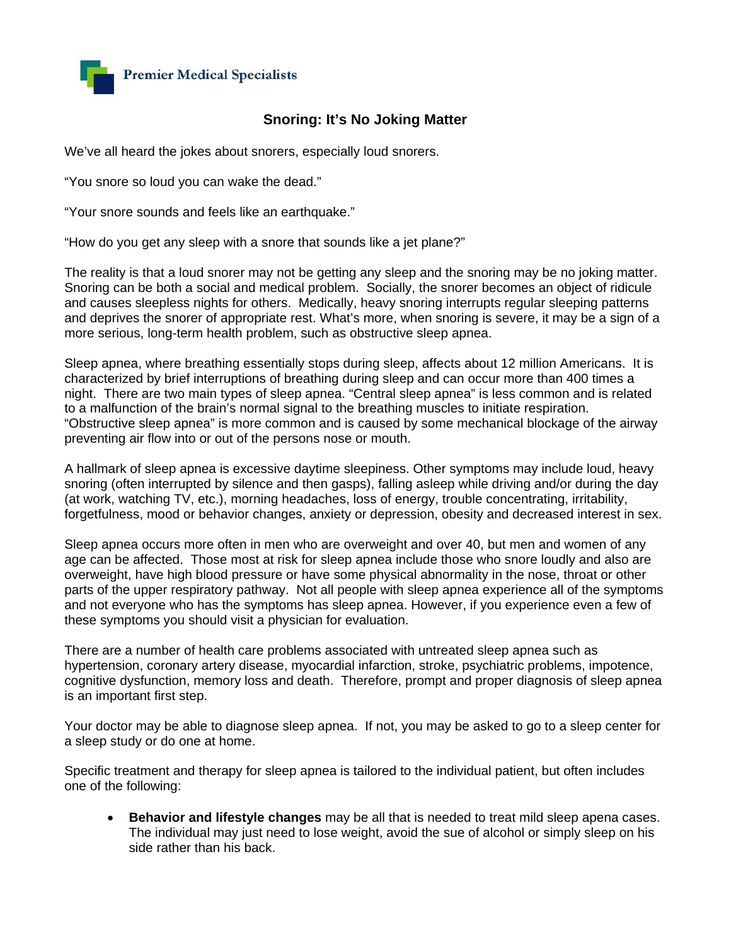

## **Snoring: It's No Joking Matter**

We've all heard the jokes about snorers, especially loud snorers.

"You snore so loud you can wake the dead."

"Your snore sounds and feels like an earthquake."

"How do you get any sleep with a snore that sounds like a jet plane?"

The reality is that a loud snorer may not be getting any sleep and the snoring may be no joking matter. Snoring can be both a social and medical problem. Socially, the snorer becomes an object of ridicule and causes sleepless nights for others. Medically, heavy snoring interrupts regular sleeping patterns and deprives the snorer of appropriate rest. What's more, when snoring is severe, it may be a sign of a more serious, long-term health problem, such as obstructive sleep apnea.

Sleep apnea, where breathing essentially stops during sleep, affects about 12 million Americans. It is characterized by brief interruptions of breathing during sleep and can occur more than 400 times a night. There are two main types of sleep apnea. "Central sleep apnea" is less common and is related to a malfunction of the brain's normal signal to the breathing muscles to initiate respiration. "Obstructive sleep apnea" is more common and is caused by some mechanical blockage of the airway preventing air flow into or out of the persons nose or mouth.

A hallmark of sleep apnea is excessive daytime sleepiness. Other symptoms may include loud, heavy snoring (often interrupted by silence and then gasps), falling asleep while driving and/or during the day (at work, watching TV, etc.), morning headaches, loss of energy, trouble concentrating, irritability, forgetfulness, mood or behavior changes, anxiety or depression, obesity and decreased interest in sex.

Sleep apnea occurs more often in men who are overweight and over 40, but men and women of any age can be affected. Those most at risk for sleep apnea include those who snore loudly and also are overweight, have high blood pressure or have some physical abnormality in the nose, throat or other parts of the upper respiratory pathway. Not all people with sleep apnea experience all of the symptoms and not everyone who has the symptoms has sleep apnea. However, if you experience even a few of these symptoms you should visit a physician for evaluation.

There are a number of health care problems associated with untreated sleep apnea such as hypertension, coronary artery disease, myocardial infarction, stroke, psychiatric problems, impotence, cognitive dysfunction, memory loss and death. Therefore, prompt and proper diagnosis of sleep apnea is an important first step.

Your doctor may be able to diagnose sleep apnea. If not, you may be asked to go to a sleep center for a sleep study or do one at home.

Specific treatment and therapy for sleep apnea is tailored to the individual patient, but often includes one of the following:

• **Behavior and lifestyle changes** may be all that is needed to treat mild sleep apena cases. The individual may just need to lose weight, avoid the sue of alcohol or simply sleep on his side rather than his back.